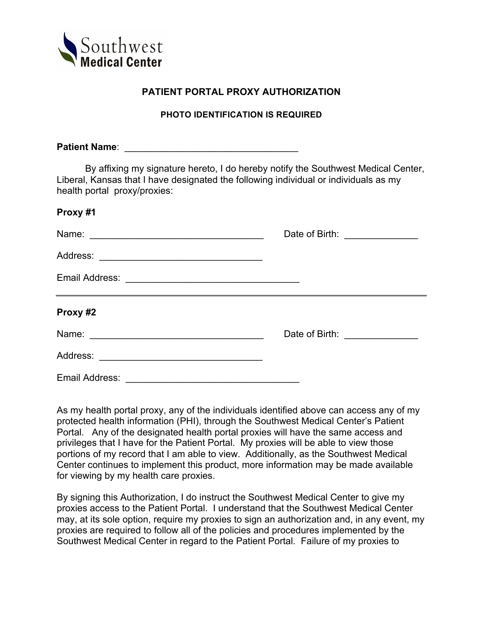

## **PATIENT PORTAL PROXY AUTHORIZATION**

## **PHOTO IDENTIFICATION IS REQUIRED**

**Patient Name**: \_\_\_\_\_\_\_\_\_\_\_\_\_\_\_\_\_\_\_\_\_\_\_\_\_\_\_\_\_\_\_\_\_ By affixing my signature hereto, I do hereby notify the Southwest Medical Center, Liberal, Kansas that I have designated the following individual or individuals as my health portal proxy/proxies: **Proxy #1** Name: \_\_\_\_\_\_\_\_\_\_\_\_\_\_\_\_\_\_\_\_\_\_\_\_\_\_\_\_\_\_\_\_\_ Date of Birth: \_\_\_\_\_\_\_\_\_\_\_\_\_\_ Address: \_\_\_\_\_\_\_\_\_\_\_\_\_\_\_\_\_\_\_\_\_\_\_\_\_\_\_\_\_\_\_ Email Address: \_\_\_\_\_\_\_\_\_\_\_\_\_\_\_\_\_\_\_\_\_\_\_\_\_\_\_\_\_\_\_\_\_ **Proxy #2** Name: \_\_\_\_\_\_\_\_\_\_\_\_\_\_\_\_\_\_\_\_\_\_\_\_\_\_\_\_\_\_\_\_\_ Date of Birth: \_\_\_\_\_\_\_\_\_\_\_\_\_\_ Address: \_\_\_\_\_\_\_\_\_\_\_\_\_\_\_\_\_\_\_\_\_\_\_\_\_\_\_\_\_\_\_ Email Address: \_\_\_\_\_\_\_\_\_\_\_\_\_\_\_\_\_\_\_\_\_\_\_\_\_\_\_\_\_\_\_\_\_

As my health portal proxy, any of the individuals identified above can access any of my protected health information (PHI), through the Southwest Medical Center's Patient Portal. Any of the designated health portal proxies will have the same access and privileges that I have for the Patient Portal. My proxies will be able to view those portions of my record that I am able to view. Additionally, as the Southwest Medical Center continues to implement this product, more information may be made available for viewing by my health care proxies.

By signing this Authorization, I do instruct the Southwest Medical Center to give my proxies access to the Patient Portal. I understand that the Southwest Medical Center may, at its sole option, require my proxies to sign an authorization and, in any event, my proxies are required to follow all of the policies and procedures implemented by the Southwest Medical Center in regard to the Patient Portal. Failure of my proxies to